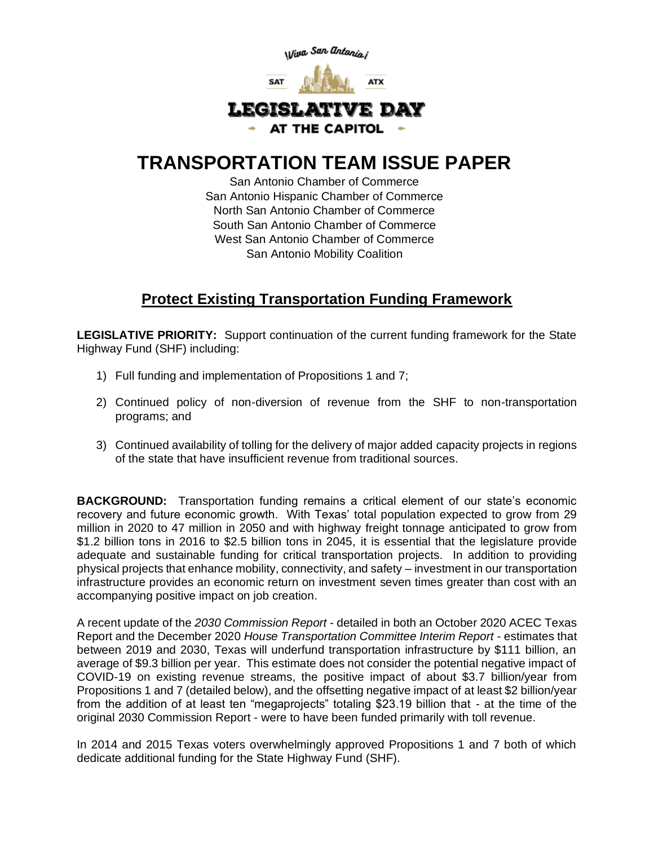

## **TRANSPORTATION TEAM ISSUE PAPER**

San Antonio Chamber of Commerce San Antonio Hispanic Chamber of Commerce North San Antonio Chamber of Commerce South San Antonio Chamber of Commerce West San Antonio Chamber of Commerce San Antonio Mobility Coalition

## **Protect Existing Transportation Funding Framework**

**LEGISLATIVE PRIORITY:** Support continuation of the current funding framework for the State Highway Fund (SHF) including:

- 1) Full funding and implementation of Propositions 1 and 7;
- 2) Continued policy of non-diversion of revenue from the SHF to non-transportation programs; and
- 3) Continued availability of tolling for the delivery of major added capacity projects in regions of the state that have insufficient revenue from traditional sources.

**BACKGROUND:** Transportation funding remains a critical element of our state's economic recovery and future economic growth. With Texas' total population expected to grow from 29 million in 2020 to 47 million in 2050 and with highway freight tonnage anticipated to grow from \$1.2 billion tons in 2016 to \$2.5 billion tons in 2045, it is essential that the legislature provide adequate and sustainable funding for critical transportation projects. In addition to providing physical projects that enhance mobility, connectivity, and safety – investment in our transportation infrastructure provides an economic return on investment seven times greater than cost with an accompanying positive impact on job creation.

A recent update of the *2030 Commission Report* - detailed in both an October 2020 ACEC Texas Report and the December 2020 *House Transportation Committee Interim Report* - estimates that between 2019 and 2030, Texas will underfund transportation infrastructure by \$111 billion, an average of \$9.3 billion per year. This estimate does not consider the potential negative impact of COVID-19 on existing revenue streams, the positive impact of about \$3.7 billion/year from Propositions 1 and 7 (detailed below), and the offsetting negative impact of at least \$2 billion/year from the addition of at least ten "megaprojects" totaling \$23.19 billion that - at the time of the original 2030 Commission Report - were to have been funded primarily with toll revenue.

In 2014 and 2015 Texas voters overwhelmingly approved Propositions 1 and 7 both of which dedicate additional funding for the State Highway Fund (SHF).